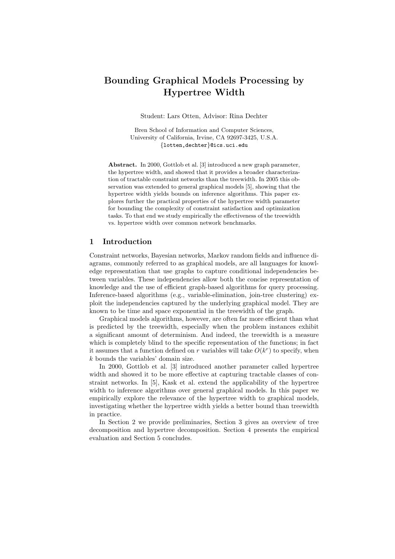# Bounding Graphical Models Processing by Hypertree Width

Student: Lars Otten, Advisor: Rina Dechter

Bren School of Information and Computer Sciences, University of California, Irvine, CA 92697-3425, U.S.A. {lotten,dechter}@ics.uci.edu

Abstract. In 2000, Gottlob et al. [3] introduced a new graph parameter, the hypertree width, and showed that it provides a broader characterization of tractable constraint networks than the treewidth. In 2005 this observation was extended to general graphical models [5], showing that the hypertree width yields bounds on inference algorithms. This paper explores further the practical properties of the hypertree width parameter for bounding the complexity of constraint satisfaction and optimization tasks. To that end we study empirically the effectiveness of the treewidth vs. hypertree width over common network benchmarks.

#### 1 Introduction

Constraint networks, Bayesian networks, Markov random fields and influence diagrams, commonly referred to as graphical models, are all languages for knowledge representation that use graphs to capture conditional independencies between variables. These independencies allow both the concise representation of knowledge and the use of efficient graph-based algorithms for query processing. Inference-based algorithms (e.g., variable-elimination, join-tree clustering) exploit the independencies captured by the underlying graphical model. They are known to be time and space exponential in the treewidth of the graph.

Graphical models algorithms, however, are often far more efficient than what is predicted by the treewidth, especially when the problem instances exhibit a significant amount of determinism. And indeed, the treewidth is a measure which is completely blind to the specific representation of the functions; in fact it assumes that a function defined on r variables will take  $O(k^r)$  to specify, when k bounds the variables' domain size.

In 2000, Gottlob et al. [3] introduced another parameter called hypertree width and showed it to be more effective at capturing tractable classes of constraint networks. In [5], Kask et al. extend the applicability of the hypertree width to inference algorithms over general graphical models. In this paper we empirically explore the relevance of the hypertree width to graphical models, investigating whether the hypertree width yields a better bound than treewidth in practice.

In Section 2 we provide preliminaries, Section 3 gives an overview of tree decomposition and hypertree decomposition. Section 4 presents the empirical evaluation and Section 5 concludes.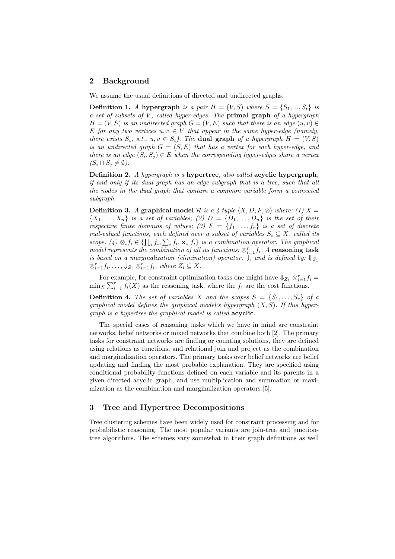# 2 Background

We assume the usual definitions of directed and undirected graphs.

**Definition 1.** A hypergraph is a pair  $H = (V, S)$  where  $S = \{S_1, ..., S_t\}$  is a set of subsets of  $V$ , called hyper-edges. The **primal graph** of a hypergraph  $H = (V, S)$  is an undirected graph  $G = (V, E)$  such that there is an edge  $(u, v) \in$ E for any two vertices  $u, v \in V$  that appear in the same hyper-edge (namely, there exists  $S_i$ , s.t.,  $u, v \in S_i$ ). The **dual graph** of a hypergraph  $H = (V, S)$ is an undirected graph  $G = (S, E)$  that has a vertex for each hyper-edge, and there is an edge  $(S_i, S_j) \in E$  when the corresponding hyper-edges share a vertex  $(S_i \cap S_j \neq \emptyset).$ 

Definition 2. A hypergraph is a hypertree, also called acyclic hypergraph, if and only if its dual graph has an edge subgraph that is a tree, such that all the nodes in the dual graph that contain a common variable form a connected subgraph.

**Definition 3.** A graphical model R is a 4-tuple  $\langle X, D, F, \otimes \rangle$  where: (1) X =  $\{X_1, \ldots, X_n\}$  is a set of variables; (2)  $D = \{D_1, \ldots, D_n\}$  is the set of their respective finite domains of values; (3)  $F = \{f_1, \ldots, f_r\}$  is a set of discrete real-valued functions, each defined over a subset of variables  $S_i \subseteq X$ , called its scope. (4)  $\otimes_i f_i \in \{\prod_i f_i, \sum_i f_i, \Join_i f_i\}$  is a combination operator. The graphical model represents the combination of all its functions:  $\otimes_{i=1}^r f_i$ . A reasoning task is based on a marginalization (elimination) operator,  $\overline{\psi}$ , and is defined by:  $\overline{\psi}_{Z_1}$  $\otimes_{i=1}^r f_i,\ldots,\Downarrow_{Z_t} \otimes_{i=1}^r f_i$ , where  $Z_i \subseteq X$ .

For example, for constraint optimization tasks one might have  $\Downarrow_{Z_1} \otimes_{i=1}^r f_i =$  $\min_X \sum_{i=1}^r f_i(X)$  as the reasoning task, where the  $f_i$  are the cost functions.

**Definition 4.** The set of variables X and the scopes  $S = \{S_1, \ldots, S_r\}$  of a graphical model defines the graphical model's hypergraph  $(X, S)$ . If this hypergraph is a hypertree the graphical model is called acyclic.

The special cases of reasoning tasks which we have in mind are constraint networks, belief networks or mixed networks that combine both [2]. The primary tasks for constraint networks are finding or counting solutions, they are defined using relations as functions, and relational join and project as the combination and marginalization operators. The primary tasks over belief networks are belief updating and finding the most probable explanation. They are specified using conditional probability functions defined on each variable and its parents in a given directed acyclic graph, and use multiplication and summation or maximization as the combination and marginalization operators [5].

# 3 Tree and Hypertree Decompositions

Tree clustering schemes have been widely used for constraint processing and for probabilistic reasoning. The most popular variants are join-tree and junctiontree algorithms. The schemes vary somewhat in their graph definitions as well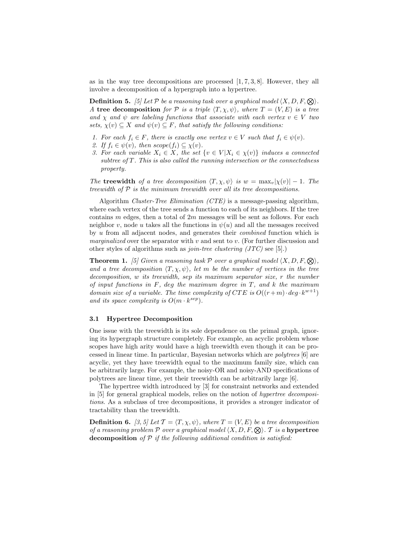as in the way tree decompositions are processed  $[1, 7, 3, 8]$ . However, they all involve a decomposition of a hypergraph into a hypertree.

**Definition 5.** [5] Let P be a reasoning task over a graphical model  $\langle X, D, F, \otimes \rangle$ . A tree decomposition for P is a triple  $\langle T, \chi, \psi \rangle$ , where  $T = (V, E)$  is a tree and  $\chi$  and  $\psi$  are labeling functions that associate with each vertex  $v \in V$  two sets,  $\chi(v) \subseteq X$  and  $\psi(v) \subseteq F$ , that satisfy the following conditions:

- 1. For each  $f_i \in F$ , there is exactly one vertex  $v \in V$  such that  $f_i \in \psi(v)$ .
- 2. If  $f_i \in \psi(v)$ , then  $scope(f_i) \subseteq \chi(v)$ .
- 3. For each variable  $X_i \in X$ , the set  $\{v \in V | X_i \in \chi(v)\}\$  induces a connected subtree of  $T$ . This is also called the running intersection or the connectedness property.

The treewidth of a tree decomposition  $\langle T, \chi, \psi \rangle$  is  $w = \max_{v} |\chi(v)| - 1$ . The treewidth of  $P$  is the minimum treewidth over all its tree decompositions.

Algorithm Cluster-Tree Elimination (CTE) is a message-passing algorithm, where each vertex of the tree sends a function to each of its neighbors. If the tree contains  $m$  edges, then a total of  $2m$  messages will be sent as follows. For each neighbor v, node u takes all the functions in  $\psi(u)$  and all the messages received by u from all adjacent nodes, and generates their combined function which is marginalized over the separator with  $v$  and sent to  $v$ . (For further discussion and other styles of algorithms such as *join-tree clustering (JTC)* see [5].)

**Theorem 1.** [5] Given a reasoning task P over a graphical model  $\langle X, D, F, \mathcal{Q} \rangle$ , and a tree decomposition  $\langle T, \chi, \psi \rangle$ , let m be the number of vertices in the tree decomposition, w its treewidth, sep its maximum separator size, r the number of input functions in  $F$ , deg the maximum degree in  $T$ , and  $k$  the maximum domain size of a variable. The time complexity of CTE is  $O((r+m) \cdot deg \cdot k^{w+1})$ and its space complexity is  $O(m \cdot k^{sep})$ .

#### 3.1 Hypertree Decomposition

One issue with the treewidth is its sole dependence on the primal graph, ignoring its hypergraph structure completely. For example, an acyclic problem whose scopes have high arity would have a high treewidth even though it can be processed in linear time. In particular, Bayesian networks which are polytrees [6] are acyclic, yet they have treewidth equal to the maximum family size, which can be arbitrarily large. For example, the noisy-OR and noisy-AND specifications of polytrees are linear time, yet their treewidth can be arbitrarily large [6].

The hypertree width introduced by [3] for constraint networks and extended in [5] for general graphical models, relies on the notion of hypertree decompositions. As a subclass of tree decompositions, it provides a stronger indicator of tractability than the treewidth.

**Definition 6.** [3, 5] Let  $\mathcal{T} = \langle T, \chi, \psi \rangle$ , where  $T = (V, E)$  be a tree decomposition of a reasoning problem P over a graphical model  $\langle X, D, F, \mathcal{Q} \rangle$ . T is a hypertree decomposition of  $P$  if the following additional condition is satisfied: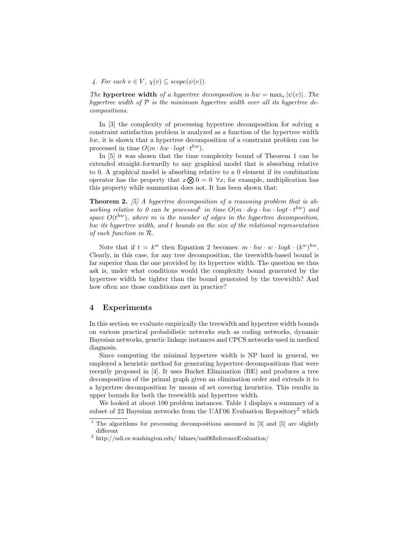4. For each  $v \in V$ ,  $\chi(v) \subseteq scope(\psi(v))$ .

The hypertree width of a hypertree decomposition is  $hw = \max_{v} |\psi(v)|$ . The hypertree width of  $P$  is the minimum hypertree width over all its hypertree decompositions.

In [3] the complexity of processing hypertree decomposition for solving a constraint satisfaction problem is analyzed as a function of the hypertree width hw, it is shown that a hypertree decomposition of a constraint problem can be processed in time  $O(m \cdot hw \cdot log t \cdot t^{hw}).$ 

In [5] it was shown that the time complexity bound of Theorem 1 can be extended straight-forwardly to any graphical model that is absorbing relative to 0. A graphical model is absorbing relative to a 0 element if its combination operator has the property that  $x \otimes 0 = 0 \quad \forall x$ ; for example, multiplication has this property while summation does not. It has been shown that:

**Theorem 2.** [5] A hypertree decomposition of a reasoning problem that is absorbing relative to 0 can be processed<sup>1</sup> in time  $O(m \cdot deg \cdot hw \cdot logt \cdot t^{hw})$  and space  $O(t^{hw})$ , where m is the number of edges in the hypertree decomposition, hw its hypertree width, and t bounds on the size of the relational representation of each function in R.

Note that if  $t = k^w$  then Equation 2 becomes:  $m \cdot hw \cdot w \cdot logk \cdot (k^w)^{hw}$ . Clearly, in this case, for any tree decomposition, the treewidth-based bound is far superior than the one provided by its hypertree width. The question we thus ask is, under what conditions would the complexity bound generated by the hypertree width be tighter than the bound generated by the treewidth? And how often are those conditions met in practice?

## 4 Experiments

In this section we evaluate empirically the treewidth and hypertree width bounds on various practical probabilistic networks such as coding networks, dynamic Bayesian networks, genetic linkage instances and CPCS networks used in medical diagnosis.

Since computing the minimal hypertree width is NP hard in general, we employed a heuristic method for generating hypertree decompositions that were recently proposed in [4]. It uses Bucket Elimination (BE) and produces a tree decomposition of the primal graph given an elimination order and extends it to a hypertree decomposition by means of set covering heuristics. This results in upper bounds for both the treewidth and hypertree width.

We looked at about 100 problem instances. Table 1 displays a summary of a subset of 23 Bayesian networks from the UAI'06 Evaluation Repository<sup>2</sup> which

 $1$  The algorithms for processing decompositions assumed in [3] and [5] are slightly different

 $^{2}$  http://ssli.ee.washington.edu/ bilmes/uai06InferenceEvaluation/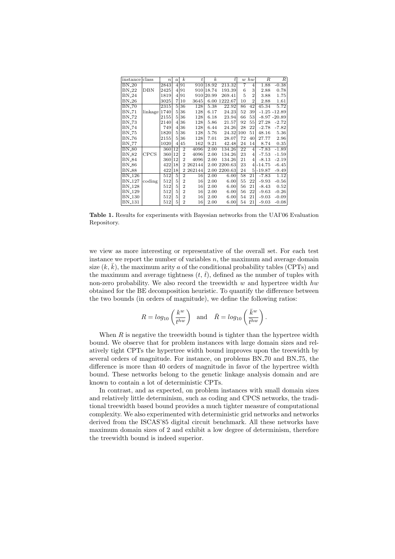| instance                              | class       | $\boldsymbol{n}$ | $\boldsymbol{a}$ | $\boldsymbol{k}$ | $\boldsymbol{t}$ | $\boldsymbol{k}$ | $t_{i}$      | $\boldsymbol{w}$ | hw             | R        | $\left  R \right $ |
|---------------------------------------|-------------|------------------|------------------|------------------|------------------|------------------|--------------|------------------|----------------|----------|--------------------|
| $BN_20$                               |             | 2843             | $\left 4\right $ | 91               |                  | 910 18.92        | 213.32       | 7                | 4              | 1.88     | $-0.38$            |
| BN 22                                 | DBN         | 2425             | $\vert$          | 91               | 910              | 18.74            | 193.39       | 6                | 3              | 2.88     | 0.78               |
| $BN-24$                               |             | 1819             | $\left 4\right $ | 91               | 910              | 20.99            | 269.41       | 5                | $\overline{2}$ | 3.88     | 1.75               |
| $BN-26$                               |             | 3025             | 7                | 10               | 3645             | 6.00             | 1222.67      | 10               | $\overline{2}$ | 2.88     | 1.61               |
| <b>BN_70</b>                          |             | 2315             | 5                | 36               | 128              | 5.38             | 22.92        | 86               | 42             | 45.34    | 5.72               |
| BN_71                                 | linkage     | 1740             | 5                | 36               | 128              | 6.17             | 24.23        | 52               | 39             |          | $-1.25 - 12.89$    |
| BN <sub>-72</sub>                     |             | 2155             | 5                | 36               | 128              | 6.18             | 23.94        | 66               | 53             |          | $-8.97 - 20.89$    |
| BN 573                                |             | 2140             | 4                | 36               | 128              | 5.86             | 21.57        | 92               | 55             | 27.28    | $-2.72$            |
| <b>BN_74</b>                          |             | 749              | 4                | 36               | 128              | 6.44             | 24.26        | 28               | 22             | $-2.78$  | $-7.82$            |
| BN 75                                 |             | 1820             | 5                | 36               | 128              | 5.76             | 24.32        | 100              | 51             | 48.16    | 5.36               |
| BN <sub>-76</sub>                     |             | 2155             | 5.               | 36               | 128              | 7.01             | 28.07        | 72               | 40             | 27.77    | 2.96               |
| BN <sub>-</sub> 77                    |             | 1020             | 4                | 45               | 162              | 9.21             | 42.48        | 24               | 14             | 8.74     | 0.35               |
| $\overline{\text{BN}}$ <sub>-80</sub> |             | 360              | 12               | $\overline{2}$   | 4096             | 2.00             | 134.26       | 22               | 4              | $-7.83$  | $-1.89$            |
| BN -82                                | <b>CPCS</b> | 3601             | 12               | $\overline{2}$   | 4096             | 2.00             | 134.26       | 23               | $\overline{4}$ | $-7.53$  | $-1.59$            |
| <b>BN_84</b>                          |             | 360              | 12               | $\overline{2}$   | 4096             | 2.00             | 134.26       | 21               | $\overline{4}$ | $-8.13$  | $-2.19$            |
| BN 86                                 |             | 422              | 18               | 2                | 262144           |                  | 2.00 2200.63 | 23               | $\overline{4}$ | $-14.75$ | $-6.45$            |
| <b>BN_88</b>                          |             | 422              | 18               | $\overline{2}$   | 262144           |                  | 2.00 2200.63 | 24               | 5              | $-19.87$ | $-9.49$            |
| BN <sub>-126</sub>                    |             | 512              | 5                | $\overline{2}$   | 16               | 2.00             | 6.00         | 58               | 21             | $-7.83$  | 1.12               |
| <b>BN_127</b>                         | coding      | 512              | 5                | $\overline{2}$   | 16               | 2.00             | 6.00         | 55               | 22             | $-9.93$  | $-0.56$            |
| <b>BN_128</b>                         |             | 512              | 5                | $\overline{2}$   | 16               | 2.00             | 6.00         | 56               | 21             | $-8.43$  | 0.52               |
| <b>BN_129</b>                         |             | 512              | 5                | $\overline{2}$   | 16               | 2.00             | 6.00         | 56               | 22             | $-9.63$  | $-0.26$            |
| <b>BN<sub>-130</sub></b>              |             | 512              | 5                | $\overline{2}$   | 16               | 2.00             | 6.00         | 54               | 21             | $-9.03$  | $-0.09$            |
| <b>BN_131</b>                         |             | 512              | 5                | $\overline{2}$   | 16               | 2.00             | 6.00         | 54               | 21             | $-9.03$  | $-0.08$            |

Table 1. Results for experiments with Bayesian networks from the UAI'06 Evaluation Repository.

we view as more interesting or representative of the overall set. For each test instance we report the number of variables  $n$ , the maximum and average domain size  $(k, \bar{k})$ , the maximum arity a of the conditional probability tables (CPTs) and the maximum and average tightness  $(t, \bar{t})$ , defined as the number of tuples with non-zero probability. We also record the treewidth  $w$  and hypertree width  $hw$ obtained for the BE decomposition heuristic. To quantify the difference between the two bounds (in orders of magnitude), we define the following ratios:

$$
R = log_{10}\left(\frac{k^w}{t^{hw}}\right) \text{ and } \bar{R} = log_{10}\left(\frac{\bar{k}^w}{\bar{t}^{hw}}\right)
$$

.

When  $R$  is negative the treewidth bound is tighter than the hypertree width bound. We observe that for problem instances with large domain sizes and relatively tight CPTs the hypertree width bound improves upon the treewidth by several orders of magnitude. For instance, on problems BN 70 and BN 75, the difference is more than 40 orders of magnitude in favor of the hypertree width bound. These networks belong to the genetic linkage analysis domain and are known to contain a lot of deterministic CPTs.

In contrast, and as expected, on problem instances with small domain sizes and relatively little determinism, such as coding and CPCS networks, the traditional treewidth based bound provides a much tighter measure of computational complexity. We also experimented with deterministic grid networks and networks derived from the ISCAS'85 digital circuit benchmark. All these networks have maximum domain sizes of 2 and exhibit a low degree of determinism, therefore the treewidth bound is indeed superior.